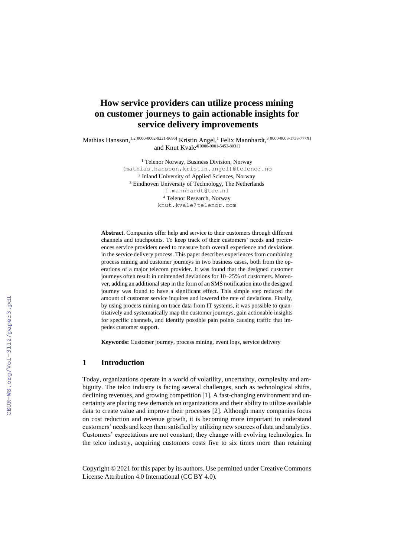# **How service providers can utilize process mining on customer journeys to gain actionable insights for service delivery improvements**

Mathias Hansson, 1.2[0000-0002-9221-9696] Kristin Angel, <sup>1</sup> Felix Mannhardt, <sup>3[0000-0003-1733-777X]</sup> and Knut Kvale4[0000-0001-5453-8031]

> <sup>1</sup> Telenor Norway, Business Division, Norway [\(mathias.hansson,kristin.angel\)@telenor.no](mailto:mathias.hansson,kristin.angel)@telenor.no) 2 Inland University of Applied Sciences, Norway <sup>3</sup> Eindhoven University of Technology, The Netherlands [f.mannhardt@tue.nl](mailto:f.mannhardt@tue.nl) <sup>4</sup> Telenor Research, Norway knut.kvale@telenor.com

**Abstract.** Companies offer help and service to their customers through different channels and touchpoints. To keep track of their customers' needs and preferences service providers need to measure both overall experience and deviations in the service delivery process. This paper describes experiences from combining process mining and customer journeys in two business cases, both from the operations of a major telecom provider. It was found that the designed customer journeys often result in unintended deviations for 10–25% of customers. Moreover, adding an additional step in the form of an SMS notification into the designed journey was found to have a significant effect. This simple step reduced the amount of customer service inquires and lowered the rate of deviations. Finally, by using process mining on trace data from IT systems, it was possible to quantitatively and systematically map the customer journeys, gain actionable insights for specific channels, and identify possible pain points causing traffic that impedes customer support.

**Keywords:** Customer journey, process mining, event logs, service delivery

# **1 Introduction**

Today, organizations operate in a world of volatility, uncertainty, complexity and ambiguity. The telco industry is facing several challenges, such as technological shifts, declining revenues, and growing competition [1]. A fast-changing environment and uncertainty are placing new demands on organizations and their ability to utilize available data to create value and improve their processes [2]. Although many companies focus on cost reduction and revenue growth, it is becoming more important to understand customers' needs and keep them satisfied by utilizing new sources of data and analytics. Customers' expectations are not constant; they change with evolving technologies. In the telco industry, acquiring customers costs five to six times more than retaining

Copyright © 2021 for this paper by its authors. Use permitted under Creative Commons License Attribution 4.0 International (CC BY 4.0).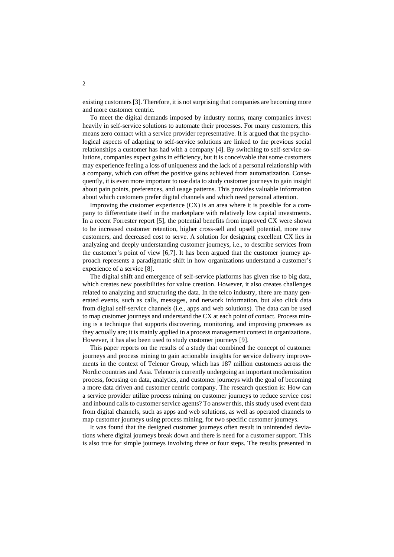existing customers [3]. Therefore, it is not surprising that companies are becoming more and more customer centric.

To meet the digital demands imposed by industry norms, many companies invest heavily in self-service solutions to automate their processes. For many customers, this means zero contact with a service provider representative. It is argued that the psychological aspects of adapting to self-service solutions are linked to the previous social relationships a customer has had with a company [4]. By switching to self-service solutions, companies expect gains in efficiency, but it is conceivable that some customers may experience feeling a loss of uniqueness and the lack of a personal relationship with a company, which can offset the positive gains achieved from automatization. Consequently, it is even more important to use data to study customer journeys to gain insight about pain points, preferences, and usage patterns. This provides valuable information about which customers prefer digital channels and which need personal attention.

Improving the customer experience  $(CX)$  is an area where it is possible for a company to differentiate itself in the marketplace with relatively low capital investments. In a recent Forrester report [5], the potential benefits from improved CX were shown to be increased customer retention, higher cross-sell and upsell potential, more new customers, and decreased cost to serve. A solution for designing excellent CX lies in analyzing and deeply understanding customer journeys, i.e., to describe services from the customer's point of view [6,7]. It has been argued that the customer journey approach represents a paradigmatic shift in how organizations understand a customer's experience of a service [8].

The digital shift and emergence of self-service platforms has given rise to big data, which creates new possibilities for value creation. However, it also creates challenges related to analyzing and structuring the data. In the telco industry, there are many generated events, such as calls, messages, and network information, but also click data from digital self-service channels (i.e., apps and web solutions). The data can be used to map customer journeys and understand the CX at each point of contact. Process mining is a technique that supports discovering, monitoring, and improving processes as they actually are; it is mainly applied in a process management context in organizations. However, it has also been used to study customer journeys [9].

This paper reports on the results of a study that combined the concept of customer journeys and process mining to gain actionable insights for service delivery improvements in the context of Telenor Group, which has 187 million customers across the Nordic countries and Asia. Telenor is currently undergoing an important modernization process, focusing on data, analytics, and customer journeys with the goal of becoming a more data driven and customer centric company. The research question is: How can a service provider utilize process mining on customer journeys to reduce service cost and inbound calls to customer service agents? To answer this, this study used event data from digital channels, such as apps and web solutions, as well as operated channels to map customer journeys using process mining, for two specific customer journeys.

It was found that the designed customer journeys often result in unintended deviations where digital journeys break down and there is need for a customer support. This is also true for simple journeys involving three or four steps. The results presented in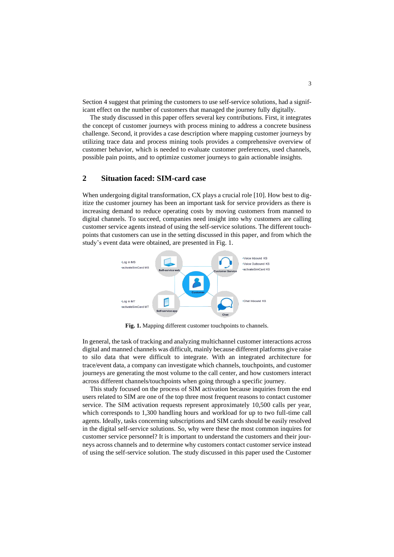Section [4](#page-5-0) suggest that priming the customers to use self-service solutions, had a significant effect on the number of customers that managed the journey fully digitally.

The study discussed in this paper offers several key contributions. First, it integrates the concept of customer journeys with process mining to address a concrete business challenge. Second, it provides a case description where mapping customer journeys by utilizing trace data and process mining tools provides a comprehensive overview of customer behavior, which is needed to evaluate customer preferences, used channels, possible pain points, and to optimize customer journeys to gain actionable insights.

# **2 Situation faced: SIM-card case**

When undergoing digital transformation, CX plays a crucial role [10]. How best to digitize the customer journey has been an important task for service providers as there is increasing demand to reduce operating costs by moving customers from manned to digital channels. To succeed, companies need insight into why customers are calling customer service agents instead of using the self-service solutions. The different touchpoints that customers can use in the setting discussed in this paper, and from which the study's event data were obtained, are presented i[n Fig. 1.](#page-2-0)



**Fig. 1.** Mapping different customer touchpoints to channels.

<span id="page-2-0"></span>In general, the task of tracking and analyzing multichannel customer interactions across digital and manned channels was difficult, mainly because different platforms give raise to silo data that were difficult to integrate. With an integrated architecture for trace/event data, a company can investigate which channels, touchpoints, and customer journeys are generating the most volume to the call center, and how customers interact across different channels/touchpoints when going through a specific journey.

This study focused on the process of SIM activation because inquiries from the end users related to SIM are one of the top three most frequent reasons to contact customer service. The SIM activation requests represent approximately 10,500 calls per year, which corresponds to 1,300 handling hours and workload for up to two full-time call agents. Ideally, tasks concerning subscriptions and SIM cards should be easily resolved in the digital self-service solutions. So, why were these the most common inquires for customer service personnel? It is important to understand the customers and their journeys across channels and to determine why customers contact customer service instead of using the self-service solution. The study discussed in this paper used the Customer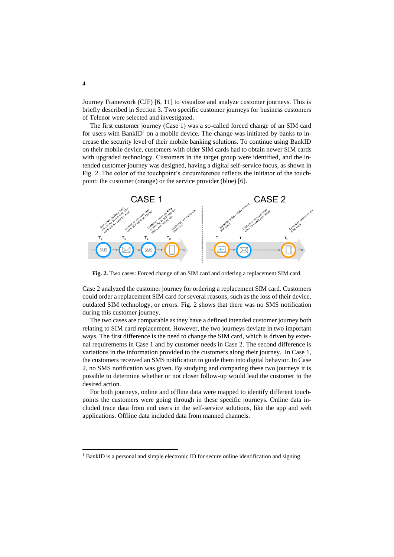Journey Framework (CJF) [6, 11] to visualize and analyze customer journeys. This is briefly described in Section 3. Two specific customer journeys for business customers of Telenor were selected and investigated.

The first customer journey (Case 1) was a so-called forced change of an SIM card for users with BankID<sup>1</sup> on a mobile device. The change was initiated by banks to increase the security level of their mobile banking solutions. To continue using BankID on their mobile device, customers with older SIM cards had to obtain newer SIM cards with upgraded technology. Customers in the target group were identified, and the intended customer journey was designed, having a digital self-service focus, as shown in [Fig. 2.](#page-3-0) The color of the touchpoint's circumference reflects the initiator of the touchpoint: the customer (orange) or the service provider (blue) [6].



<span id="page-3-0"></span>**Fig. 2.** Two cases: Forced change of an SIM card and ordering a replacement SIM card.

Case 2 analyzed the customer journey for ordering a replacement SIM card. Customers could order a replacement SIM card for several reasons, such as the loss of their device, outdated SIM technology, or errors. [Fig. 2](#page-3-0) shows that there was no SMS notification during this customer journey.

The two cases are comparable as they have a defined intended customer journey both relating to SIM card replacement. However, the two journeys deviate in two important ways. The first difference is the need to change the SIM card, which is driven by external requirements in Case 1 and by customer needs in Case 2. The second difference is variations in the information provided to the customers along their journey. In Case 1, the customers received an SMS notification to guide them into digital behavior. In Case 2, no SMS notification was given. By studying and comparing these two journeys it is possible to determine whether or not closer follow-up would lead the customer to the desired action.

For both journeys, online and offline data were mapped to identify different touchpoints the customers were going through in these specific journeys. Online data included trace data from end users in the self-service solutions, like the app and web applications. Offline data included data from manned channels.

<sup>&</sup>lt;sup>1</sup> BankID is a personal and simple electronic ID for secure online identification and signing.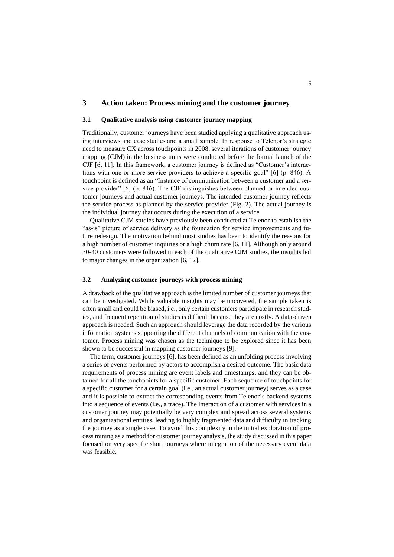# **3 Action taken: Process mining and the customer journey**

### **3.1 Qualitative analysis using customer journey mapping**

Traditionally, customer journeys have been studied applying a qualitative approach using interviews and case studies and a small sample. In response to Telenor's strategic need to measure CX across touchpoints in 2008, several iterations of customer journey mapping (CJM) in the business units were conducted before the formal launch of the CJF [6, 11]. In this framework, a customer journey is defined as "Customer's interactions with one or more service providers to achieve a specific goal" [6] (p. 846). A touchpoint is defined as an "Instance of communication between a customer and a service provider" [6] (p. 846). The CJF distinguishes between planned or intended customer journeys and actual customer journeys. The intended customer journey reflects the service process as planned by the service provider [\(Fig. 2\)](#page-3-0). The actual journey is the individual journey that occurs during the execution of a service.

Qualitative CJM studies have previously been conducted at Telenor to establish the "as-is" picture of service delivery as the foundation for service improvements and future redesign. The motivation behind most studies has been to identify the reasons for a high number of customer inquiries or a high churn rate [6, 11]. Although only around 30-40 customers were followed in each of the qualitative CJM studies, the insights led to major changes in the organization [6, 12].

#### **3.2 Analyzing customer journeys with process mining**

A drawback of the qualitative approach is the limited number of customer journeys that can be investigated. While valuable insights may be uncovered, the sample taken is often small and could be biased, i.e., only certain customers participate in research studies, and frequent repetition of studies is difficult because they are costly. A data-driven approach is needed. Such an approach should leverage the data recorded by the various information systems supporting the different channels of communication with the customer. Process mining was chosen as the technique to be explored since it has been shown to be successful in mapping customer journeys [9].

The term, customer journeys [6], has been defined as an unfolding process involving a series of events performed by actors to accomplish a desired outcome. The basic data requirements of process mining are event labels and timestamps, and they can be obtained for all the touchpoints for a specific customer. Each sequence of touchpoints for a specific customer for a certain goal (i.e., an actual customer journey) serves as a case and it is possible to extract the corresponding events from Telenor's backend systems into a sequence of events (i.e., a trace). The interaction of a customer with services in a customer journey may potentially be very complex and spread across several systems and organizational entities, leading to highly fragmented data and difficulty in tracking the journey as a single case. To avoid this complexity in the initial exploration of process mining as a method for customer journey analysis, the study discussed in this paper focused on very specific short journeys where integration of the necessary event data was feasible.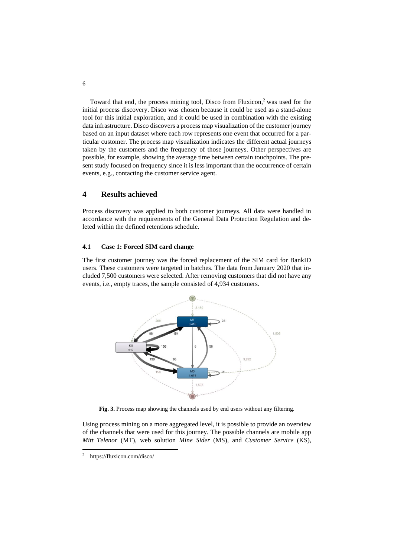Toward that end, the process mining tool, Disco from Fluxicon, <sup>2</sup> was used for the initial process discovery. Disco was chosen because it could be used as a stand-alone tool for this initial exploration, and it could be used in combination with the existing data infrastructure. Disco discovers a process map visualization of the customer journey based on an input dataset where each row represents one event that occurred for a particular customer. The process map visualization indicates the different actual journeys taken by the customers and the frequency of those journeys. Other perspectives are possible, for example, showing the average time between certain touchpoints. The present study focused on frequency since it is less important than the occurrence of certain events, e.g., contacting the customer service agent.

# <span id="page-5-0"></span>**4 Results achieved**

Process discovery was applied to both customer journeys. All data were handled in accordance with the requirements of the General Data Protection Regulation and deleted within the defined retentions schedule.

#### **4.1 Case 1: Forced SIM card change**

The first customer journey was the forced replacement of the SIM card for BankID users. These customers were targeted in batches. The data from January 2020 that included 7,500 customers were selected. After removing customers that did not have any events, i.e., empty traces, the sample consisted of 4,934 customers.



**Fig. 3.** Process map showing the channels used by end users without any filtering.

<span id="page-5-1"></span>Using process mining on a more aggregated level, it is possible to provide an overview of the channels that were used for this journey. The possible channels are mobile app *Mitt Telenor* (MT), web solution *Mine Sider* (MS), and *Customer Service* (KS),

<sup>2</sup> https://fluxicon.com/disco/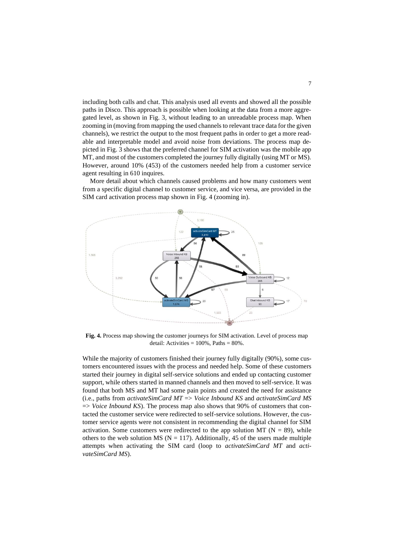including both calls and chat. This analysis used all events and showed all the possible paths in Disco. This approach is possible when looking at the data from a more aggregated level, as shown in [Fig. 3,](#page-5-1) without leading to an unreadable process map. When zooming in (moving from mapping the used channels to relevant trace data for the given channels), we restrict the output to the most frequent paths in order to get a more readable and interpretable model and avoid noise from deviations. The process map depicted i[n Fig. 3](#page-5-1) shows that the preferred channel for SIM activation was the mobile app MT, and most of the customers completed the journey fully digitally (using MT or MS). However, around 10% (453) of the customers needed help from a customer service agent resulting in 610 inquires.

More detail about which channels caused problems and how many customers went from a specific digital channel to customer service, and vice versa, are provided in the SIM card activation process map shown in Fig. 4 (zooming in).



**Fig. 4.** Process map showing the customer journeys for SIM activation. Level of process map detail: Activities =  $100\%$ , Paths =  $80\%$ .

While the majority of customers finished their journey fully digitally (90%), some customers encountered issues with the process and needed help. Some of these customers started their journey in digital self-service solutions and ended up contacting customer support, while others started in manned channels and then moved to self-service. It was found that both MS and MT had some pain points and created the need for assistance (i.e., paths from *activateSimCard MT* => *Voice Inbound KS* and *activateSimCard MS* => *Voice Inbound KS*). The process map also shows that 90% of customers that contacted the customer service were redirected to self-service solutions. However, the customer service agents were not consistent in recommending the digital channel for SIM activation. Some customers were redirected to the app solution MT ( $N = 89$ ), while others to the web solution MS ( $N = 117$ ). Additionally, 45 of the users made multiple attempts when activating the SIM card (loop to *activateSimCard MT* and *activateSimCard MS*).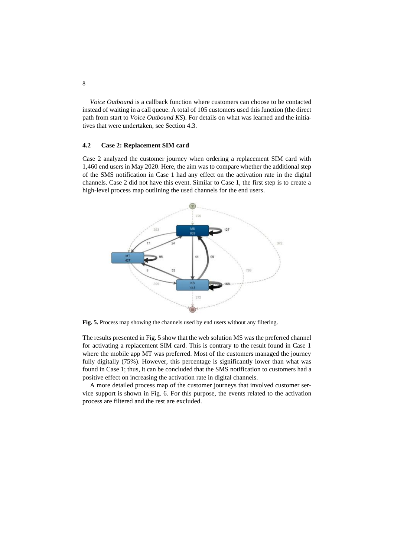*Voice Outbound* is a callback function where customers can choose to be contacted instead of waiting in a call queue. A total of 105 customers used this function (the direct path from start to *Voice Outbound KS*). For details on what was learned and the initiatives that were undertaken, see Section 4.3.

### **4.2 Case 2: Replacement SIM card**

Case 2 analyzed the customer journey when ordering a replacement SIM card with 1,460 end users in May 2020. Here, the aim was to compare whether the additional step of the SMS notification in Case 1 had any effect on the activation rate in the digital channels. Case 2 did not have this event. Similar to Case 1, the first step is to create a high-level process map outlining the used channels for the end users.



<span id="page-7-0"></span>**Fig. 5.** Process map showing the channels used by end users without any filtering.

The results presented i[n Fig. 5](#page-7-0) show that the web solution MS was the preferred channel for activating a replacement SIM card. This is contrary to the result found in Case 1 where the mobile app MT was preferred. Most of the customers managed the journey fully digitally (75%). However, this percentage is significantly lower than what was found in Case 1; thus, it can be concluded that the SMS notification to customers had a positive effect on increasing the activation rate in digital channels.

A more detailed process map of the customer journeys that involved customer service support is shown in Fig. 6. For this purpose, the events related to the activation process are filtered and the rest are excluded.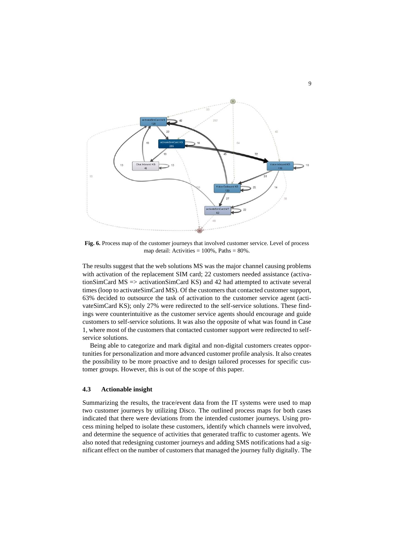

**Fig. 6.** Process map of the customer journeys that involved customer service. Level of process map detail: Activities = 100%, Paths = 80%.

The results suggest that the web solutions MS was the major channel causing problems with activation of the replacement SIM card; 22 customers needed assistance (activationSimCard MS => activationSimCard KS) and 42 had attempted to activate several times (loop to activateSimCard MS). Of the customers that contacted customer support, 63% decided to outsource the task of activation to the customer service agent (activateSimCard KS); only 27% were redirected to the self-service solutions. These findings were counterintuitive as the customer service agents should encourage and guide customers to self-service solutions. It was also the opposite of what was found in Case 1, where most of the customers that contacted customer support were redirected to selfservice solutions.

Being able to categorize and mark digital and non-digital customers creates opportunities for personalization and more advanced customer profile analysis. It also creates the possibility to be more proactive and to design tailored processes for specific customer groups. However, this is out of the scope of this paper.

# **4.3 Actionable insight**

Summarizing the results, the trace/event data from the IT systems were used to map two customer journeys by utilizing Disco. The outlined process maps for both cases indicated that there were deviations from the intended customer journeys. Using process mining helped to isolate these customers, identify which channels were involved, and determine the sequence of activities that generated traffic to customer agents. We also noted that redesigning customer journeys and adding SMS notifications had a significant effect on the number of customers that managed the journey fully digitally. The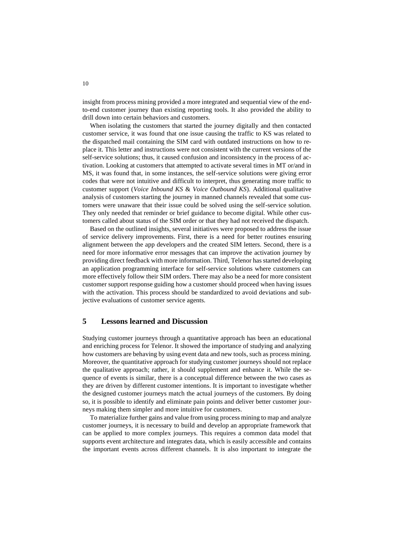insight from process mining provided a more integrated and sequential view of the endto-end customer journey than existing reporting tools. It also provided the ability to drill down into certain behaviors and customers.

When isolating the customers that started the journey digitally and then contacted customer service, it was found that one issue causing the traffic to KS was related to the dispatched mail containing the SIM card with outdated instructions on how to replace it. This letter and instructions were not consistent with the current versions of the self-service solutions; thus, it caused confusion and inconsistency in the process of activation. Looking at customers that attempted to activate several times in MT or/and in MS, it was found that, in some instances, the self-service solutions were giving error codes that were not intuitive and difficult to interpret, thus generating more traffic to customer support (*Voice Inbound KS* & *Voice Outbound KS*). Additional qualitative analysis of customers starting the journey in manned channels revealed that some customers were unaware that their issue could be solved using the self-service solution. They only needed that reminder or brief guidance to become digital. While other customers called about status of the SIM order or that they had not received the dispatch.

Based on the outlined insights, several initiatives were proposed to address the issue of service delivery improvements. First, there is a need for better routines ensuring alignment between the app developers and the created SIM letters. Second, there is a need for more informative error messages that can improve the activation journey by providing direct feedback with more information. Third, Telenor has started developing an application programming interface for self-service solutions where customers can more effectively follow their SIM orders. There may also be a need for more consistent customer support response guiding how a customer should proceed when having issues with the activation. This process should be standardized to avoid deviations and subjective evaluations of customer service agents.

# **5 Lessons learned and Discussion**

Studying customer journeys through a quantitative approach has been an educational and enriching process for Telenor. It showed the importance of studying and analyzing how customers are behaving by using event data and new tools, such as process mining. Moreover, the quantitative approach for studying customer journeys should not replace the qualitative approach; rather, it should supplement and enhance it. While the sequence of events is similar, there is a conceptual difference between the two cases as they are driven by different customer intentions. It is important to investigate whether the designed customer journeys match the actual journeys of the customers. By doing so, it is possible to identify and eliminate pain points and deliver better customer journeys making them simpler and more intuitive for customers.

To materialize further gains and value from using process mining to map and analyze customer journeys, it is necessary to build and develop an appropriate framework that can be applied to more complex journeys. This requires a common data model that supports event architecture and integrates data, which is easily accessible and contains the important events across different channels. It is also important to integrate the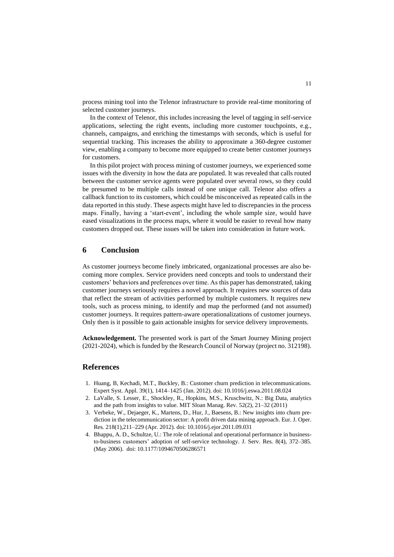process mining tool into the Telenor infrastructure to provide real-time monitoring of selected customer journeys.

In the context of Telenor, this includes increasing the level of tagging in self-service applications, selecting the right events, including more customer touchpoints, e.g., channels, campaigns, and enriching the timestamps with seconds, which is useful for sequential tracking. This increases the ability to approximate a 360-degree customer view, enabling a company to become more equipped to create better customer journeys for customers.

In this pilot project with process mining of customer journeys, we experienced some issues with the diversity in how the data are populated. It was revealed that calls routed between the customer service agents were populated over several rows, so they could be presumed to be multiple calls instead of one unique call. Telenor also offers a callback function to its customers, which could be misconceived as repeated calls in the data reported in this study. These aspects might have led to discrepancies in the process maps. Finally, having a 'start-event', including the whole sample size, would have eased visualizations in the process maps, where it would be easier to reveal how many customers dropped out. These issues will be taken into consideration in future work.

# **6 Conclusion**

As customer journeys become finely imbricated, organizational processes are also becoming more complex. Service providers need concepts and tools to understand their customers' behaviors and preferences over time. As this paper has demonstrated, taking customer journeys seriously requires a novel approach. It requires new sources of data that reflect the stream of activities performed by multiple customers. It requires new tools, such as process mining, to identify and map the performed (and not assumed) customer journeys. It requires pattern-aware operationalizations of customer journeys. Only then is it possible to gain actionable insights for service delivery improvements.

**Acknowledgement.** The presented work is part of the Smart Journey Mining project (2021-2024), which is funded by the Research Council of Norway (project no. 312198).

# **References**

- 1. Huang, B, Kechadi, M.T., Buckley, B.: Customer churn prediction in telecommunications. Expert Syst. Appl. 39(1), 1414–1425 (Jan. 2012). doi: 10.1016/j.eswa.2011.08.024
- 2. LaValle, S. Lesser, E., Shockley, R., Hopkins, M.S., Kruschwitz, N.: Big Data, analytics and the path from insights to value. MIT Sloan Manag. Rev. 52(2), 21–32 (2011)
- 3. Verbeke, W., Dejaeger, K., Martens, D., Hur, J., Baesens, B.: New insights into churn prediction in the telecommunication sector: A profit driven data mining approach. Eur. J. Oper. Res*.* 218(1),211–229 (Apr. 2012). doi: 10.1016/j.ejor.2011.09.031
- 4. Bhappu, A. D., Schultze, U.: The role of relational and operational performance in businessto-business customers' adoption of self-service technology. J. Serv. Res*.* 8(4), 372–385. (May 2006). doi: 10.1177/1094670506286571